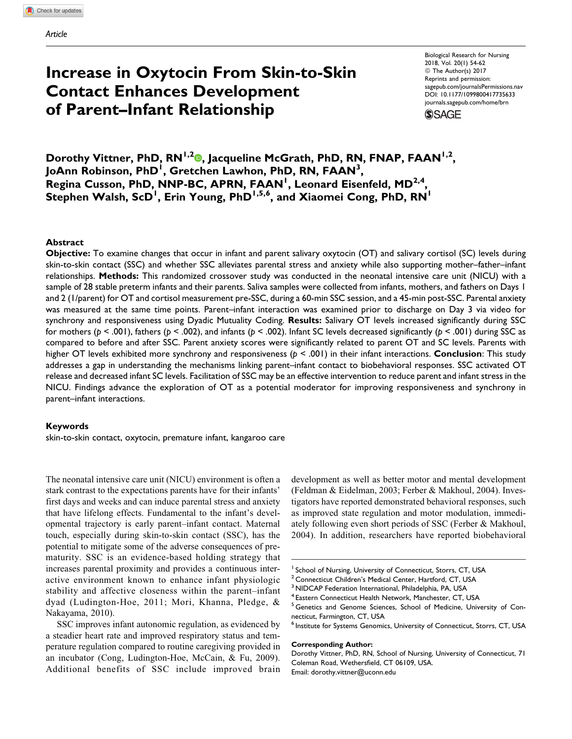# Increase in Oxytocin From Skin-to-Skin Contact Enhances Development of Parent–Infant Relationship

Biological Research for Nursing 2018, Vol. 20(1) 54-62 © The Author(s) 2017 Reprints and permission: [sagepub.com/journalsPermissions.nav](https://us.sagepub.com/en-us/journals-permissions) [DOI: 10.1177/1099800417735633](https://doi.org/10.1177/1099800417735633) [journals.sagepub.com/home/brn](http://journals.sagepub.com/home/brn)



Dorothy Vittner, PhD, RN<sup>1,2</sup><sup>0</sup>, Jacqueline McGrath, PhD, RN, FNAP, FAAN<sup>1,2</sup>, JoAnn Robinson, PhD<sup>1</sup>, Gretchen Lawhon, PhD, RN, FAAN<sup>3</sup>, Regina Cusson, PhD, NNP-BC, APRN, FAAN<sup>1</sup>, Leonard Eisenfeld, MD<sup>2,4</sup>, Stephen Walsh, ScD<sup>1</sup>, Erin Young, PhD<sup>1,5,6</sup>, and Xiaomei Cong, PhD, RN<sup>1</sup>

## Abstract

Objective: To examine changes that occur in infant and parent salivary oxytocin (OT) and salivary cortisol (SC) levels during skin-to-skin contact (SSC) and whether SSC alleviates parental stress and anxiety while also supporting mother–father–infant relationships. Methods: This randomized crossover study was conducted in the neonatal intensive care unit (NICU) with a sample of 28 stable preterm infants and their parents. Saliva samples were collected from infants, mothers, and fathers on Days 1 and 2 (1/parent) for OT and cortisol measurement pre-SSC, during a 60-min SSC session, and a 45-min post-SSC. Parental anxiety was measured at the same time points. Parent–infant interaction was examined prior to discharge on Day 3 via video for synchrony and responsiveness using Dyadic Mutuality Coding. Results: Salivary OT levels increased significantly during SSC for mothers ( $p < .001$ ), fathers ( $p < .002$ ), and infants ( $p < .002$ ). Infant SC levels decreased significantly ( $p < .001$ ) during SSC as compared to before and after SSC. Parent anxiety scores were significantly related to parent OT and SC levels. Parents with higher OT levels exhibited more synchrony and responsiveness ( $p \le .001$ ) in their infant interactions. **Conclusion**: This study addresses a gap in understanding the mechanisms linking parent–infant contact to biobehavioral responses. SSC activated OT release and decreased infant SC levels. Facilitation of SSC may be an effective intervention to reduce parent and infant stress in the NICU. Findings advance the exploration of OT as a potential moderator for improving responsiveness and synchrony in parent–infant interactions.

#### Keywords

skin-to-skin contact, oxytocin, premature infant, kangaroo care

The neonatal intensive care unit (NICU) environment is often a stark contrast to the expectations parents have for their infants' first days and weeks and can induce parental stress and anxiety that have lifelong effects. Fundamental to the infant's developmental trajectory is early parent–infant contact. Maternal touch, especially during skin-to-skin contact (SSC), has the potential to mitigate some of the adverse consequences of prematurity. SSC is an evidence-based holding strategy that increases parental proximity and provides a continuous interactive environment known to enhance infant physiologic stability and affective closeness within the parent–infant dyad (Ludington-Hoe, 2011; Mori, Khanna, Pledge, & Nakayama, 2010).

SSC improves infant autonomic regulation, as evidenced by a steadier heart rate and improved respiratory status and temperature regulation compared to routine caregiving provided in an incubator (Cong, Ludington-Hoe, McCain, & Fu, 2009). Additional benefits of SSC include improved brain

development as well as better motor and mental development (Feldman & Eidelman, 2003; Ferber & Makhoul, 2004). Investigators have reported demonstrated behavioral responses, such as improved state regulation and motor modulation, immediately following even short periods of SSC (Ferber & Makhoul, 2004). In addition, researchers have reported biobehavioral

#### Corresponding Author:

<sup>&</sup>lt;sup>1</sup> School of Nursing, University of Connecticut, Storrs, CT, USA

<sup>&</sup>lt;sup>2</sup> Connecticut Children's Medical Center, Hartford, CT, USA

<sup>&</sup>lt;sup>3</sup> NIDCAP Federation International, Philadelphia, PA, USA

<sup>4</sup> Eastern Connecticut Health Network, Manchester, CT, USA

<sup>&</sup>lt;sup>5</sup> Genetics and Genome Sciences, School of Medicine, University of Connecticut, Farmington, CT, USA

 $^6$  Institute for Systems Genomics, University of Connecticut, Storrs, CT, USA

Dorothy Vittner, PhD, RN, School of Nursing, University of Connecticut, 71 Coleman Road, Wethersfield, CT 06109, USA. Email: [dorothy.vittner@uconn.edu](mailto:dorothy.vittner@uconn.edu)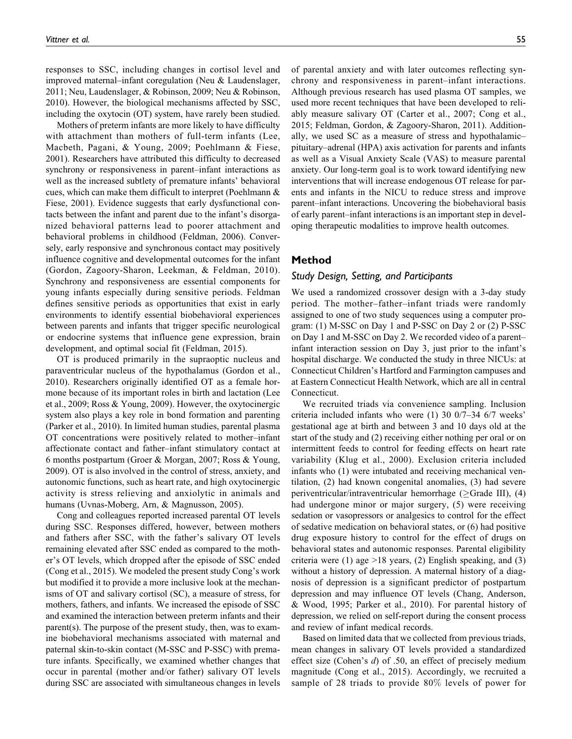responses to SSC, including changes in cortisol level and improved maternal–infant coregulation (Neu & Laudenslager, 2011; Neu, Laudenslager, & Robinson, 2009; Neu & Robinson, 2010). However, the biological mechanisms affected by SSC, including the oxytocin (OT) system, have rarely been studied.

Mothers of preterm infants are more likely to have difficulty with attachment than mothers of full-term infants (Lee, Macbeth, Pagani, & Young, 2009; Poehlmann & Fiese, 2001). Researchers have attributed this difficulty to decreased synchrony or responsiveness in parent–infant interactions as well as the increased subtlety of premature infants' behavioral cues, which can make them difficult to interpret (Poehlmann & Fiese, 2001). Evidence suggests that early dysfunctional contacts between the infant and parent due to the infant's disorganized behavioral patterns lead to poorer attachment and behavioral problems in childhood (Feldman, 2006). Conversely, early responsive and synchronous contact may positively influence cognitive and developmental outcomes for the infant (Gordon, Zagoory-Sharon, Leekman, & Feldman, 2010). Synchrony and responsiveness are essential components for young infants especially during sensitive periods. Feldman defines sensitive periods as opportunities that exist in early environments to identify essential biobehavioral experiences between parents and infants that trigger specific neurological or endocrine systems that influence gene expression, brain development, and optimal social fit (Feldman, 2015).

OT is produced primarily in the supraoptic nucleus and paraventricular nucleus of the hypothalamus (Gordon et al., 2010). Researchers originally identified OT as a female hormone because of its important roles in birth and lactation (Lee et al., 2009; Ross & Young, 2009). However, the oxytocinergic system also plays a key role in bond formation and parenting (Parker et al., 2010). In limited human studies, parental plasma OT concentrations were positively related to mother–infant affectionate contact and father–infant stimulatory contact at 6 months postpartum (Groer & Morgan, 2007; Ross & Young, 2009). OT is also involved in the control of stress, anxiety, and autonomic functions, such as heart rate, and high oxytocinergic activity is stress relieving and anxiolytic in animals and humans (Uvnas-Moberg, Arn, & Magnusson, 2005).

Cong and colleagues reported increased parental OT levels during SSC. Responses differed, however, between mothers and fathers after SSC, with the father's salivary OT levels remaining elevated after SSC ended as compared to the mother's OT levels, which dropped after the episode of SSC ended (Cong et al., 2015). We modeled the present study Cong's work but modified it to provide a more inclusive look at the mechanisms of OT and salivary cortisol (SC), a measure of stress, for mothers, fathers, and infants. We increased the episode of SSC and examined the interaction between preterm infants and their parent(s). The purpose of the present study, then, was to examine biobehavioral mechanisms associated with maternal and paternal skin-to-skin contact (M-SSC and P-SSC) with premature infants. Specifically, we examined whether changes that occur in parental (mother and/or father) salivary OT levels during SSC are associated with simultaneous changes in levels of parental anxiety and with later outcomes reflecting synchrony and responsiveness in parent–infant interactions. Although previous research has used plasma OT samples, we used more recent techniques that have been developed to reliably measure salivary OT (Carter et al., 2007; Cong et al., 2015; Feldman, Gordon, & Zagoory-Sharon, 2011). Additionally, we used SC as a measure of stress and hypothalamic– pituitary–adrenal (HPA) axis activation for parents and infants as well as a Visual Anxiety Scale (VAS) to measure parental anxiety. Our long-term goal is to work toward identifying new interventions that will increase endogenous OT release for parents and infants in the NICU to reduce stress and improve parent–infant interactions. Uncovering the biobehavioral basis of early parent–infant interactions is an important step in developing therapeutic modalities to improve health outcomes.

## Method

## Study Design, Setting, and Participants

We used a randomized crossover design with a 3-day study period. The mother–father–infant triads were randomly assigned to one of two study sequences using a computer program: (1) M-SSC on Day 1 and P-SSC on Day 2 or (2) P-SSC on Day 1 and M-SSC on Day 2. We recorded video of a parent– infant interaction session on Day 3, just prior to the infant's hospital discharge. We conducted the study in three NICUs: at Connecticut Children's Hartford and Farmington campuses and at Eastern Connecticut Health Network, which are all in central Connecticut.

We recruited triads via convenience sampling. Inclusion criteria included infants who were (1) 30 0/7–34 6/7 weeks' gestational age at birth and between 3 and 10 days old at the start of the study and (2) receiving either nothing per oral or on intermittent feeds to control for feeding effects on heart rate variability (Klug et al., 2000). Exclusion criteria included infants who (1) were intubated and receiving mechanical ventilation, (2) had known congenital anomalies, (3) had severe periventricular/intraventricular hemorrhage ( $\geq$ Grade III), (4) had undergone minor or major surgery, (5) were receiving sedation or vasopressors or analgesics to control for the effect of sedative medication on behavioral states, or (6) had positive drug exposure history to control for the effect of drugs on behavioral states and autonomic responses. Parental eligibility criteria were (1) age  $>18$  years, (2) English speaking, and (3) without a history of depression. A maternal history of a diagnosis of depression is a significant predictor of postpartum depression and may influence OT levels (Chang, Anderson, & Wood, 1995; Parker et al., 2010). For parental history of depression, we relied on self-report during the consent process and review of infant medical records.

Based on limited data that we collected from previous triads, mean changes in salivary OT levels provided a standardized effect size (Cohen's d) of .50, an effect of precisely medium magnitude (Cong et al., 2015). Accordingly, we recruited a sample of 28 triads to provide 80% levels of power for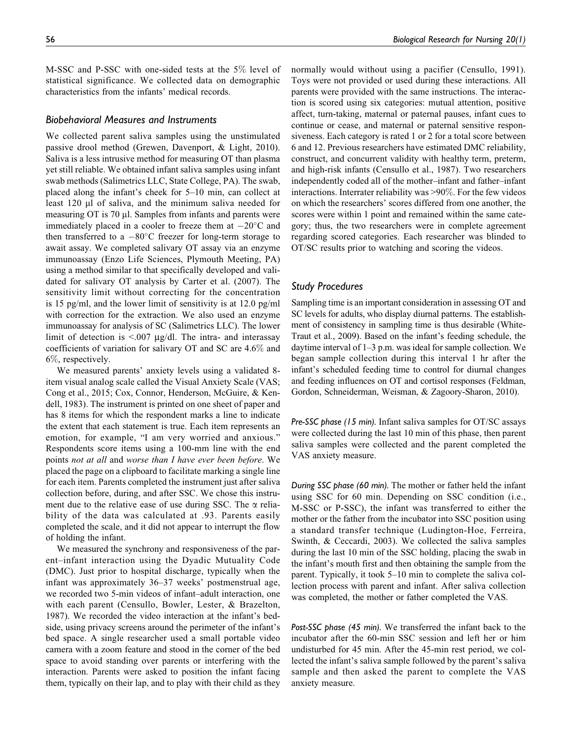M-SSC and P-SSC with one-sided tests at the 5% level of statistical significance. We collected data on demographic characteristics from the infants' medical records.

#### Biobehavioral Measures and Instruments

We collected parent saliva samples using the unstimulated passive drool method (Grewen, Davenport, & Light, 2010). Saliva is a less intrusive method for measuring OT than plasma yet still reliable. We obtained infant saliva samples using infant swab methods (Salimetrics LLC, State College, PA). The swab, placed along the infant's cheek for 5–10 min, can collect at least  $120 \mu l$  of saliva, and the minimum saliva needed for measuring OT is  $70 \mu l$ . Samples from infants and parents were immediately placed in a cooler to freeze them at  $-20^{\circ}$ C and then transferred to a  $-80^{\circ}$ C freezer for long-term storage to await assay. We completed salivary OT assay via an enzyme immunoassay (Enzo Life Sciences, Plymouth Meeting, PA) using a method similar to that specifically developed and validated for salivary OT analysis by Carter et al. (2007). The sensitivity limit without correcting for the concentration is 15 pg/ml, and the lower limit of sensitivity is at 12.0 pg/ml with correction for the extraction. We also used an enzyme immunoassay for analysis of SC (Salimetrics LLC). The lower limit of detection is  $\leq 0.007$   $\mu$ g/dl. The intra- and interassay coefficients of variation for salivary OT and SC are 4.6% and 6%, respectively.

We measured parents' anxiety levels using a validated 8 item visual analog scale called the Visual Anxiety Scale (VAS; Cong et al., 2015; Cox, Connor, Henderson, McGuire, & Kendell, 1983). The instrument is printed on one sheet of paper and has 8 items for which the respondent marks a line to indicate the extent that each statement is true. Each item represents an emotion, for example, "I am very worried and anxious." Respondents score items using a 100-mm line with the end points not at all and worse than I have ever been before. We placed the page on a clipboard to facilitate marking a single line for each item. Parents completed the instrument just after saliva collection before, during, and after SSC. We chose this instrument due to the relative ease of use during SSC. The  $\alpha$  reliability of the data was calculated at .93. Parents easily completed the scale, and it did not appear to interrupt the flow of holding the infant.

We measured the synchrony and responsiveness of the parent–infant interaction using the Dyadic Mutuality Code (DMC). Just prior to hospital discharge, typically when the infant was approximately 36–37 weeks' postmenstrual age, we recorded two 5-min videos of infant–adult interaction, one with each parent (Censullo, Bowler, Lester, & Brazelton, 1987). We recorded the video interaction at the infant's bedside, using privacy screens around the perimeter of the infant's bed space. A single researcher used a small portable video camera with a zoom feature and stood in the corner of the bed space to avoid standing over parents or interfering with the interaction. Parents were asked to position the infant facing them, typically on their lap, and to play with their child as they normally would without using a pacifier (Censullo, 1991). Toys were not provided or used during these interactions. All parents were provided with the same instructions. The interaction is scored using six categories: mutual attention, positive affect, turn-taking, maternal or paternal pauses, infant cues to continue or cease, and maternal or paternal sensitive responsiveness. Each category is rated 1 or 2 for a total score between 6 and 12. Previous researchers have estimated DMC reliability, construct, and concurrent validity with healthy term, preterm, and high-risk infants (Censullo et al., 1987). Two researchers independently coded all of the mother–infant and father–infant interactions. Interrater reliability was >90%. For the few videos on which the researchers' scores differed from one another, the scores were within 1 point and remained within the same category; thus, the two researchers were in complete agreement regarding scored categories. Each researcher was blinded to OT/SC results prior to watching and scoring the videos.

# Study Procedures

Sampling time is an important consideration in assessing OT and SC levels for adults, who display diurnal patterns. The establishment of consistency in sampling time is thus desirable (White-Traut et al., 2009). Based on the infant's feeding schedule, the daytime interval of 1–3 p.m. was ideal for sample collection. We began sample collection during this interval 1 hr after the infant's scheduled feeding time to control for diurnal changes and feeding influences on OT and cortisol responses (Feldman, Gordon, Schneiderman, Weisman, & Zagoory-Sharon, 2010).

Pre-SSC phase (15 min). Infant saliva samples for OT/SC assays were collected during the last 10 min of this phase, then parent saliva samples were collected and the parent completed the VAS anxiety measure.

During SSC phase (60 min). The mother or father held the infant using SSC for 60 min. Depending on SSC condition (i.e., M-SSC or P-SSC), the infant was transferred to either the mother or the father from the incubator into SSC position using a standard transfer technique (Ludington-Hoe, Ferreira, Swinth, & Ceccardi, 2003). We collected the saliva samples during the last 10 min of the SSC holding, placing the swab in the infant's mouth first and then obtaining the sample from the parent. Typically, it took 5–10 min to complete the saliva collection process with parent and infant. After saliva collection was completed, the mother or father completed the VAS.

Post-SSC phase (45 min). We transferred the infant back to the incubator after the 60-min SSC session and left her or him undisturbed for 45 min. After the 45-min rest period, we collected the infant's saliva sample followed by the parent's saliva sample and then asked the parent to complete the VAS anxiety measure.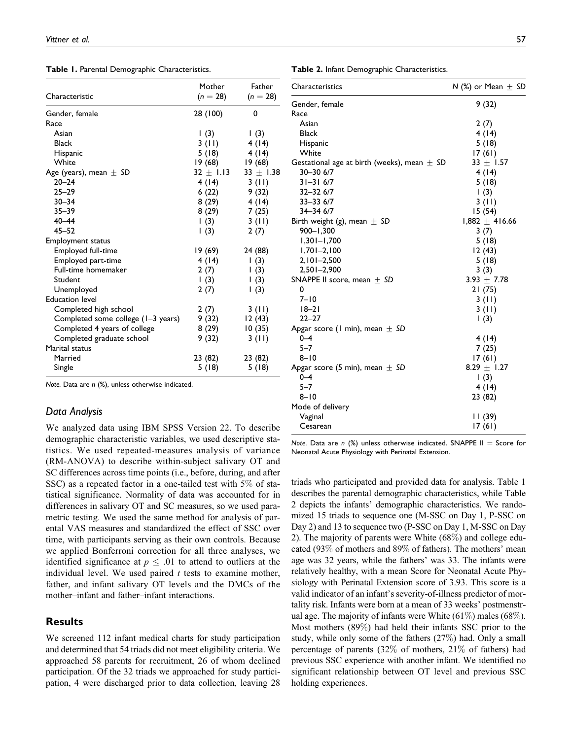|  |  |  |  | Table 1. Parental Demographic Characteristics. |
|--|--|--|--|------------------------------------------------|
|--|--|--|--|------------------------------------------------|

|                                    | Mother      | Father        |  |
|------------------------------------|-------------|---------------|--|
| Characteristic                     | $(n = 28)$  | $(n = 28)$    |  |
| Gender, female                     | 28 (100)    | 0             |  |
| Race                               |             |               |  |
| Asian                              | $\vert$ (3) | $\vert$ (3)   |  |
| Black                              | 3 (II)      | 4 (14)        |  |
| Hispanic                           | 5(18)       | 4(14)         |  |
| White                              | 19 (68)     | 19(68)        |  |
| Age (years), mean $\pm$ SD         | $32 + 1.13$ | $33 \pm 1.38$ |  |
| $20 - 24$                          | 4 (14)      | 3 (II)        |  |
| $25 - 29$                          | 6(22)       | 9 (32)        |  |
| $30 - 34$                          | 8 (29)      | 4(14)         |  |
| $35 - 39$                          | 8 (29)      | 7(25)         |  |
| $40 - 44$                          | 1(3)        | 3(11)         |  |
| $45 - 52$                          | $\vert$ (3) | 2(7)          |  |
| <b>Employment status</b>           |             |               |  |
| Employed full-time                 | 19 (69)     | 24 (88)       |  |
| Employed part-time                 | 4(14)       | $\vert$ (3)   |  |
| Full-time homemaker                | 2(7)        | $\vert$ (3)   |  |
| Student                            | $\vert$ (3) | 1(3)          |  |
| Unemployed                         | 2(7)        | $\vert$ (3)   |  |
| <b>Education level</b>             |             |               |  |
| Completed high school              | 2(7)        | 3(11)         |  |
| Completed some college (1–3 years) | 9 (32)      | 12 (43)       |  |
| Completed 4 years of college       | 8(29)       | 10(35)        |  |
| Completed graduate school          | 9 (32)      | 3(11)         |  |
| Marital status                     |             |               |  |
| Married                            | 23 (82)     | 23 (82)       |  |
| Single                             | 5(18)       | 5(18)         |  |

Note. Data are  $n$  (%), unless otherwise indicated.

#### Data Analysis

We analyzed data using IBM SPSS Version 22. To describe demographic characteristic variables, we used descriptive statistics. We used repeated-measures analysis of variance (RM-ANOVA) to describe within-subject salivary OT and SC differences across time points (i.e., before, during, and after SSC) as a repeated factor in a one-tailed test with 5% of statistical significance. Normality of data was accounted for in differences in salivary OT and SC measures, so we used parametric testing. We used the same method for analysis of parental VAS measures and standardized the effect of SSC over time, with participants serving as their own controls. Because we applied Bonferroni correction for all three analyses, we identified significance at  $p \leq .01$  to attend to outliers at the individual level. We used paired  $t$  tests to examine mother, father, and infant salivary OT levels and the DMCs of the mother–infant and father–infant interactions.

## **Results**

We screened 112 infant medical charts for study participation and determined that 54 triads did not meet eligibility criteria. We approached 58 parents for recruitment, 26 of whom declined participation. Of the 32 triads we approached for study participation, 4 were discharged prior to data collection, leaving 28

Table 2. Infant Demographic Characteristics.

| 9(32)<br>Gender, female<br>Race<br>Asian<br>2(7)<br>4(14)<br><b>Black</b><br>5(18)<br>Hispanic<br>White<br>17(61)<br>$33 \pm 1.57$<br>Gestational age at birth (weeks), mean $\pm$ SD<br>30-30 6/7<br>4(14)<br>$31 - 316/7$<br>5(18)<br>$32 - 326/7$<br>1(3)<br>$33 - 336/7$<br>3(11)<br>$34 - 3467$<br>15 (54)<br>$1,882 + 416.66$<br>Birth weight (g), mean $\pm$ SD<br>$900 - 1,300$<br>3(7)<br>$1,301 - 1,700$<br>5(18)<br>$1,701 - 2,100$<br>12(43)<br>$2,101 - 2,500$<br>5(18)<br>$2,501 - 2,900$<br>3(3)<br>$3.93 \pm 7.78$<br>SNAPPE II score, mean $\pm$ SD<br>0<br>21 (75)<br>$7 - 10$<br>3 (II)<br>$18 - 21$<br>3 (II)<br>$22 - 27$<br>1(3)<br>Apgar score (1 min), mean $\pm$ SD<br>$0 - 4$<br>4(14)<br>$5 - 7$<br>7 (25)<br>$8 - 10$<br>17(61)<br>8.29 $\pm$ 1.27<br>Apgar score (5 min), mean $\pm$ SD<br>$0 - 4$<br>$\vert$ (3)<br>$5 - 7$<br>4 (14)<br>$8 - 10$<br>23 (82)<br>Mode of delivery<br>Vaginal<br>II (39)<br>Cesarean<br>I7 (61) | Characteristics | N (%) or Mean $\pm$ SD |
|-------------------------------------------------------------------------------------------------------------------------------------------------------------------------------------------------------------------------------------------------------------------------------------------------------------------------------------------------------------------------------------------------------------------------------------------------------------------------------------------------------------------------------------------------------------------------------------------------------------------------------------------------------------------------------------------------------------------------------------------------------------------------------------------------------------------------------------------------------------------------------------------------------------------------------------------------------------|-----------------|------------------------|
|                                                                                                                                                                                                                                                                                                                                                                                                                                                                                                                                                                                                                                                                                                                                                                                                                                                                                                                                                             |                 |                        |
|                                                                                                                                                                                                                                                                                                                                                                                                                                                                                                                                                                                                                                                                                                                                                                                                                                                                                                                                                             |                 |                        |
|                                                                                                                                                                                                                                                                                                                                                                                                                                                                                                                                                                                                                                                                                                                                                                                                                                                                                                                                                             |                 |                        |
|                                                                                                                                                                                                                                                                                                                                                                                                                                                                                                                                                                                                                                                                                                                                                                                                                                                                                                                                                             |                 |                        |
|                                                                                                                                                                                                                                                                                                                                                                                                                                                                                                                                                                                                                                                                                                                                                                                                                                                                                                                                                             |                 |                        |
|                                                                                                                                                                                                                                                                                                                                                                                                                                                                                                                                                                                                                                                                                                                                                                                                                                                                                                                                                             |                 |                        |
|                                                                                                                                                                                                                                                                                                                                                                                                                                                                                                                                                                                                                                                                                                                                                                                                                                                                                                                                                             |                 |                        |
|                                                                                                                                                                                                                                                                                                                                                                                                                                                                                                                                                                                                                                                                                                                                                                                                                                                                                                                                                             |                 |                        |
|                                                                                                                                                                                                                                                                                                                                                                                                                                                                                                                                                                                                                                                                                                                                                                                                                                                                                                                                                             |                 |                        |
|                                                                                                                                                                                                                                                                                                                                                                                                                                                                                                                                                                                                                                                                                                                                                                                                                                                                                                                                                             |                 |                        |
|                                                                                                                                                                                                                                                                                                                                                                                                                                                                                                                                                                                                                                                                                                                                                                                                                                                                                                                                                             |                 |                        |
|                                                                                                                                                                                                                                                                                                                                                                                                                                                                                                                                                                                                                                                                                                                                                                                                                                                                                                                                                             |                 |                        |
|                                                                                                                                                                                                                                                                                                                                                                                                                                                                                                                                                                                                                                                                                                                                                                                                                                                                                                                                                             |                 |                        |
|                                                                                                                                                                                                                                                                                                                                                                                                                                                                                                                                                                                                                                                                                                                                                                                                                                                                                                                                                             |                 |                        |
|                                                                                                                                                                                                                                                                                                                                                                                                                                                                                                                                                                                                                                                                                                                                                                                                                                                                                                                                                             |                 |                        |
|                                                                                                                                                                                                                                                                                                                                                                                                                                                                                                                                                                                                                                                                                                                                                                                                                                                                                                                                                             |                 |                        |
|                                                                                                                                                                                                                                                                                                                                                                                                                                                                                                                                                                                                                                                                                                                                                                                                                                                                                                                                                             |                 |                        |
|                                                                                                                                                                                                                                                                                                                                                                                                                                                                                                                                                                                                                                                                                                                                                                                                                                                                                                                                                             |                 |                        |
|                                                                                                                                                                                                                                                                                                                                                                                                                                                                                                                                                                                                                                                                                                                                                                                                                                                                                                                                                             |                 |                        |
|                                                                                                                                                                                                                                                                                                                                                                                                                                                                                                                                                                                                                                                                                                                                                                                                                                                                                                                                                             |                 |                        |
|                                                                                                                                                                                                                                                                                                                                                                                                                                                                                                                                                                                                                                                                                                                                                                                                                                                                                                                                                             |                 |                        |
|                                                                                                                                                                                                                                                                                                                                                                                                                                                                                                                                                                                                                                                                                                                                                                                                                                                                                                                                                             |                 |                        |
|                                                                                                                                                                                                                                                                                                                                                                                                                                                                                                                                                                                                                                                                                                                                                                                                                                                                                                                                                             |                 |                        |
|                                                                                                                                                                                                                                                                                                                                                                                                                                                                                                                                                                                                                                                                                                                                                                                                                                                                                                                                                             |                 |                        |
|                                                                                                                                                                                                                                                                                                                                                                                                                                                                                                                                                                                                                                                                                                                                                                                                                                                                                                                                                             |                 |                        |
|                                                                                                                                                                                                                                                                                                                                                                                                                                                                                                                                                                                                                                                                                                                                                                                                                                                                                                                                                             |                 |                        |
|                                                                                                                                                                                                                                                                                                                                                                                                                                                                                                                                                                                                                                                                                                                                                                                                                                                                                                                                                             |                 |                        |
|                                                                                                                                                                                                                                                                                                                                                                                                                                                                                                                                                                                                                                                                                                                                                                                                                                                                                                                                                             |                 |                        |
|                                                                                                                                                                                                                                                                                                                                                                                                                                                                                                                                                                                                                                                                                                                                                                                                                                                                                                                                                             |                 |                        |
|                                                                                                                                                                                                                                                                                                                                                                                                                                                                                                                                                                                                                                                                                                                                                                                                                                                                                                                                                             |                 |                        |
|                                                                                                                                                                                                                                                                                                                                                                                                                                                                                                                                                                                                                                                                                                                                                                                                                                                                                                                                                             |                 |                        |
|                                                                                                                                                                                                                                                                                                                                                                                                                                                                                                                                                                                                                                                                                                                                                                                                                                                                                                                                                             |                 |                        |
|                                                                                                                                                                                                                                                                                                                                                                                                                                                                                                                                                                                                                                                                                                                                                                                                                                                                                                                                                             |                 |                        |
|                                                                                                                                                                                                                                                                                                                                                                                                                                                                                                                                                                                                                                                                                                                                                                                                                                                                                                                                                             |                 |                        |

Note. Data are n (%) unless otherwise indicated. SNAPPE II = Score for Neonatal Acute Physiology with Perinatal Extension.

triads who participated and provided data for analysis. Table 1 describes the parental demographic characteristics, while Table 2 depicts the infants' demographic characteristics. We randomized 15 triads to sequence one (M-SSC on Day 1, P-SSC on Day 2) and 13 to sequence two (P-SSC on Day 1, M-SSC on Day 2). The majority of parents were White (68%) and college educated (93% of mothers and 89% of fathers). The mothers' mean age was 32 years, while the fathers' was 33. The infants were relatively healthy, with a mean Score for Neonatal Acute Physiology with Perinatal Extension score of 3.93. This score is a valid indicator of an infant's severity-of-illness predictor of mortality risk. Infants were born at a mean of 33 weeks' postmenstrual age. The majority of infants were White  $(61\%)$  males  $(68\%)$ . Most mothers (89%) had held their infants SSC prior to the study, while only some of the fathers (27%) had. Only a small percentage of parents (32% of mothers, 21% of fathers) had previous SSC experience with another infant. We identified no significant relationship between OT level and previous SSC holding experiences.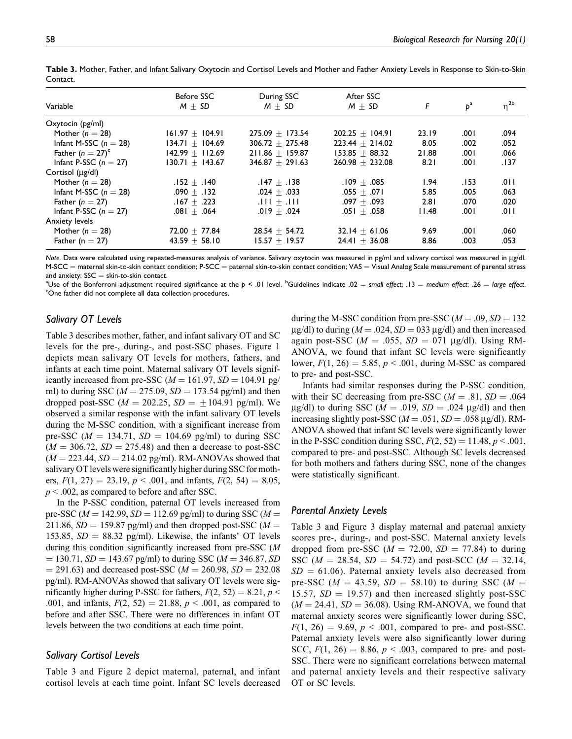|                         | Before SSC        | During SSC        | After SSC         |       |       |             |
|-------------------------|-------------------|-------------------|-------------------|-------|-------|-------------|
| Variable                | $M + SD$          | $M + SD$          | $M + SD$          | F     | $p^a$ | $\eta^{2b}$ |
| $O$ xytocin ( $pg/ml$ ) |                   |                   |                   |       |       |             |
| Mother ( $n = 28$ )     | $161.97 + 104.91$ | $275.09 + 173.54$ | $202.25 + 104.91$ | 23.19 | .001  | .094        |
| Infant M-SSC $(n = 28)$ | $134.71 + 104.69$ | $306.72 + 275.48$ | $223.44 + 214.02$ | 8.05  | .002  | .052        |
| Father $(n = 27)^c$     | $142.99 + 112.69$ | $211.86 + 159.87$ | $153.85 + 88.32$  | 21.88 | .001  | .066        |
| Infant P-SSC $(n = 27)$ | $130.71 + 143.67$ | $346.87 + 291.63$ | $260.98 + 232.08$ | 8.21  | .001  | .137        |
| Cortisol (ug/dl)        |                   |                   |                   |       |       |             |
| Mother ( $n = 28$ )     | $.152 + .140$     | .147 $\pm$ .138   | $.109 + .085$     | 1.94  | .153  | .011        |
| Infant M-SSC $(n = 28)$ | $.090 + .132$     | $.024 + .033$     | $.055 + .071$     | 5.85  | .005  | .063        |
| Father $(n = 27)$       | $.167 + .223$     | $111 + 111$ .     | $.097 + .093$     | 2.81  | .070  | .020        |
| Infant P-SSC $(n = 27)$ | $.081 + .064$     | $.019 + .024$     | $.051 + .058$     | 11.48 | ا 00. | .011        |
| Anxiety levels          |                   |                   |                   |       |       |             |
| Mother ( $n = 28$ )     | $72.00 + 77.84$   | $28.54 + 54.72$   | $32.14 + 61.06$   | 9.69  | .001  | .060        |
| Father ( $n = 27$ )     | $43.59 + 58.10$   | $15.57 + 19.57$   | $24.41 + 36.08$   | 8.86  | .003  | .053        |

Table 3. Mother, Father, and Infant Salivary Oxytocin and Cortisol Levels and Mother and Father Anxiety Levels in Response to Skin-to-Skin Contact.

Note. Data were calculated using repeated-measures analysis of variance. Salivary oxytocin was measured in pg/ml and salivary cortisol was measured in μg/dl.  $M-SCC$  = maternal skin-to-skin contact condition; P-SCC = paternal skin-to-skin contact condition; VAS = Visual Analog Scale measurement of parental stress and anxiety;  $SSC =$  skin-to-skin contact.

<sup>a</sup>Use of the Bonferroni adjustment required significance at the p < .01 level. <sup>b</sup>Guidelines indicate .02 = small effect; .13 = medium effect; .26 = large effect.<br>"One father did not complete all data cellection procedur One father did not complete all data collection procedures.

## Salivary OT Levels

Table 3 describes mother, father, and infant salivary OT and SC levels for the pre-, during-, and post-SSC phases. Figure 1 depicts mean salivary OT levels for mothers, fathers, and infants at each time point. Maternal salivary OT levels significantly increased from pre-SSC ( $M = 161.97$ ,  $SD = 104.91$  pg/ ml) to during SSC ( $M = 275.09$ ,  $SD = 173.54$  pg/ml) and then dropped post-SSC ( $M = 202.25$ ,  $SD = \pm 104.91$  pg/ml). We observed a similar response with the infant salivary OT levels during the M-SSC condition, with a significant increase from pre-SSC ( $M = 134.71$ ,  $SD = 104.69$  pg/ml) to during SSC  $(M = 306.72, SD = 275.48)$  and then a decrease to post-SSC  $(M = 223.44, SD = 214.02$  pg/ml). RM-ANOVAs showed that salivary OT levels were significantly higher during SSC for mothers,  $F(1, 27) = 23.19$ ,  $p < .001$ , and infants,  $F(2, 54) = 8.05$ ,  $p < .002$ , as compared to before and after SSC.

In the P-SSC condition, paternal OT levels increased from pre-SSC ( $M = 142.99$ ,  $SD = 112.69$  pg/ml) to during SSC ( $M =$ 211.86,  $SD = 159.87$  pg/ml) and then dropped post-SSC ( $M =$ 153.85,  $SD = 88.32$  pg/ml). Likewise, the infants' OT levels during this condition significantly increased from pre-SSC (M  $= 130.71$ ,  $SD = 143.67$  pg/ml) to during SSC ( $M = 346.87$ , SD  $=$  291.63) and decreased post-SSC ( $M = 260.98$ ,  $SD = 232.08$ ) pg/ml). RM-ANOVAs showed that salivary OT levels were significantly higher during P-SSC for fathers,  $F(2, 52) = 8.21$ ,  $p <$ .001, and infants,  $F(2, 52) = 21.88$ ,  $p < .001$ , as compared to before and after SSC. There were no differences in infant OT levels between the two conditions at each time point.

### Salivary Cortisol Levels

Table 3 and Figure 2 depict maternal, paternal, and infant cortisol levels at each time point. Infant SC levels decreased during the M-SSC condition from pre-SSC ( $M = .09$ ,  $SD = 132$  $\mu$ g/dl) to during ( $M = .024$ ,  $SD = 033 \mu$ g/dl) and then increased again post-SSC ( $M = .055$ ,  $SD = 071$  µg/dl). Using RM-ANOVA, we found that infant SC levels were significantly lower,  $F(1, 26) = 5.85$ ,  $p < .001$ , during M-SSC as compared to pre- and post-SSC.

Infants had similar responses during the P-SSC condition, with their SC decreasing from pre-SSC ( $M = .81$ ,  $SD = .064$ )  $\mu$ g/dl) to during SSC ( $M = .019$ ,  $SD = .024 \mu$ g/dl) and then increasing slightly post-SSC ( $M = .051$ ,  $SD = .058 \mu g/dl$ ). RM-ANOVA showed that infant SC levels were significantly lower in the P-SSC condition during SSC,  $F(2, 52) = 11.48$ ,  $p < .001$ , compared to pre- and post-SSC. Although SC levels decreased for both mothers and fathers during SSC, none of the changes were statistically significant.

# Parental Anxiety Levels

Table 3 and Figure 3 display maternal and paternal anxiety scores pre-, during-, and post-SSC. Maternal anxiety levels dropped from pre-SSC ( $M = 72.00$ ,  $SD = 77.84$ ) to during SSC ( $M = 28.54$ ,  $SD = 54.72$ ) and post-SCC ( $M = 32.14$ ,  $SD = 61.06$ ). Paternal anxiety levels also decreased from pre-SSC ( $M = 43.59$ ,  $SD = 58.10$ ) to during SSC ( $M =$ 15.57,  $SD = 19.57$ ) and then increased slightly post-SSC  $(M = 24.41, SD = 36.08)$ . Using RM-ANOVA, we found that maternal anxiety scores were significantly lower during SSC,  $F(1, 26) = 9.69$ ,  $p < .001$ , compared to pre- and post-SSC. Paternal anxiety levels were also significantly lower during SCC,  $F(1, 26) = 8.86, p < .003$ , compared to pre- and post-SSC. There were no significant correlations between maternal and paternal anxiety levels and their respective salivary OT or SC levels.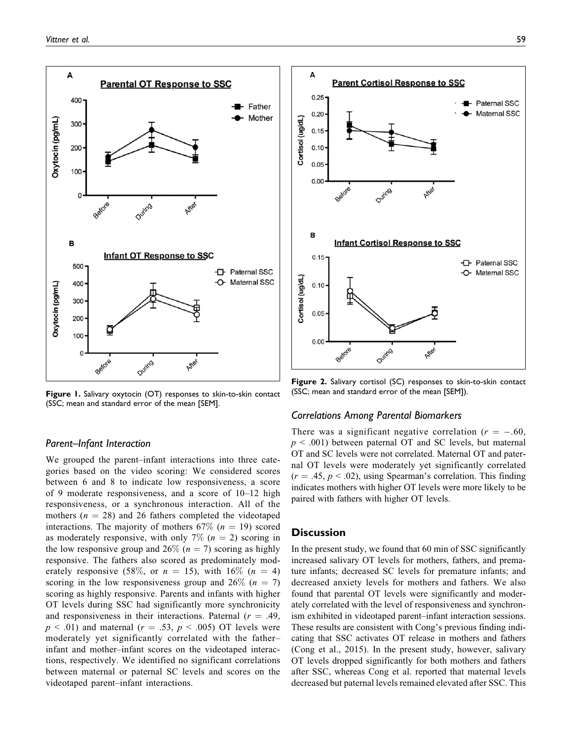

Figure 1. Salivary oxytocin (OT) responses to skin-to-skin contact (SSC; mean and standard error of the mean [SEM].

## Parent–Infant Interaction

We grouped the parent–infant interactions into three categories based on the video scoring: We considered scores between 6 and 8 to indicate low responsiveness, a score of 9 moderate responsiveness, and a score of 10–12 high responsiveness, or a synchronous interaction. All of the mothers ( $n = 28$ ) and 26 fathers completed the videotaped interactions. The majority of mothers 67% ( $n = 19$ ) scored as moderately responsive, with only 7% ( $n = 2$ ) scoring in the low responsive group and 26% ( $n = 7$ ) scoring as highly responsive. The fathers also scored as predominately moderately responsive (58%, or  $n = 15$ ), with  $16\%$  ( $n = 4$ ) scoring in the low responsiveness group and  $26\%$  ( $n = 7$ ) scoring as highly responsive. Parents and infants with higher OT levels during SSC had significantly more synchronicity and responsiveness in their interactions. Paternal  $(r = .49, )$  $p \leq .01$ ) and maternal ( $r = .53$ ,  $p \leq .005$ ) OT levels were moderately yet significantly correlated with the father– infant and mother–infant scores on the videotaped interactions, respectively. We identified no significant correlations between maternal or paternal SC levels and scores on the videotaped parent–infant interactions.



Figure 2. Salivary cortisol (SC) responses to skin-to-skin contact (SSC; mean and standard error of the mean [SEM]).

#### Correlations Among Parental Biomarkers

There was a significant negative correlation ( $r = -.60$ ,  $p \leq 0.001$ ) between paternal OT and SC levels, but maternal OT and SC levels were not correlated. Maternal OT and paternal OT levels were moderately yet significantly correlated  $(r = .45, p < .02)$ , using Spearman's correlation. This finding indicates mothers with higher OT levels were more likely to be paired with fathers with higher OT levels.

#### **Discussion**

In the present study, we found that 60 min of SSC significantly increased salivary OT levels for mothers, fathers, and premature infants; decreased SC levels for premature infants; and decreased anxiety levels for mothers and fathers. We also found that parental OT levels were significantly and moderately correlated with the level of responsiveness and synchronism exhibited in videotaped parent–infant interaction sessions. These results are consistent with Cong's previous finding indicating that SSC activates OT release in mothers and fathers (Cong et al., 2015). In the present study, however, salivary OT levels dropped significantly for both mothers and fathers after SSC, whereas Cong et al. reported that maternal levels decreased but paternal levels remained elevated after SSC. This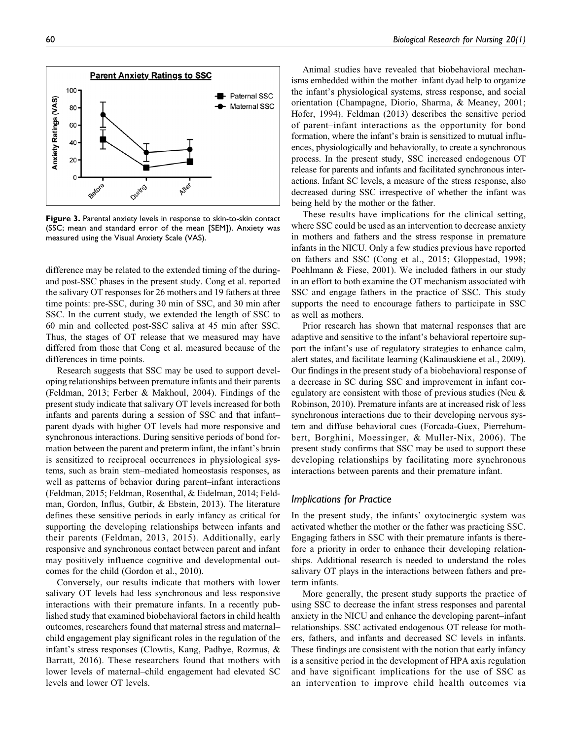

Figure 3. Parental anxiety levels in response to skin-to-skin contact (SSC; mean and standard error of the mean [SEM]). Anxiety was measured using the Visual Anxiety Scale (VAS).

difference may be related to the extended timing of the duringand post-SSC phases in the present study. Cong et al. reported the salivary OT responses for 26 mothers and 19 fathers at three time points: pre-SSC, during 30 min of SSC, and 30 min after SSC. In the current study, we extended the length of SSC to 60 min and collected post-SSC saliva at 45 min after SSC. Thus, the stages of OT release that we measured may have differed from those that Cong et al. measured because of the differences in time points.

Research suggests that SSC may be used to support developing relationships between premature infants and their parents (Feldman, 2013; Ferber & Makhoul, 2004). Findings of the present study indicate that salivary OT levels increased for both infants and parents during a session of SSC and that infant– parent dyads with higher OT levels had more responsive and synchronous interactions. During sensitive periods of bond formation between the parent and preterm infant, the infant's brain is sensitized to reciprocal occurrences in physiological systems, such as brain stem–mediated homeostasis responses, as well as patterns of behavior during parent–infant interactions (Feldman, 2015; Feldman, Rosenthal, & Eidelman, 2014; Feldman, Gordon, Influs, Gutbir, & Ebstein, 2013). The literature defines these sensitive periods in early infancy as critical for supporting the developing relationships between infants and their parents (Feldman, 2013, 2015). Additionally, early responsive and synchronous contact between parent and infant may positively influence cognitive and developmental outcomes for the child (Gordon et al., 2010).

Conversely, our results indicate that mothers with lower salivary OT levels had less synchronous and less responsive interactions with their premature infants. In a recently published study that examined biobehavioral factors in child health outcomes, researchers found that maternal stress and maternal– child engagement play significant roles in the regulation of the infant's stress responses (Clowtis, Kang, Padhye, Rozmus, & Barratt, 2016). These researchers found that mothers with lower levels of maternal–child engagement had elevated SC levels and lower OT levels.

Animal studies have revealed that biobehavioral mechanisms embedded within the mother–infant dyad help to organize the infant's physiological systems, stress response, and social orientation (Champagne, Diorio, Sharma, & Meaney, 2001; Hofer, 1994). Feldman (2013) describes the sensitive period of parent–infant interactions as the opportunity for bond formation, where the infant's brain is sensitized to mutual influences, physiologically and behaviorally, to create a synchronous process. In the present study, SSC increased endogenous OT release for parents and infants and facilitated synchronous interactions. Infant SC levels, a measure of the stress response, also decreased during SSC irrespective of whether the infant was being held by the mother or the father.

These results have implications for the clinical setting, where SSC could be used as an intervention to decrease anxiety in mothers and fathers and the stress response in premature infants in the NICU. Only a few studies previous have reported on fathers and SSC (Cong et al., 2015; Gloppestad, 1998; Poehlmann & Fiese, 2001). We included fathers in our study in an effort to both examine the OT mechanism associated with SSC and engage fathers in the practice of SSC. This study supports the need to encourage fathers to participate in SSC as well as mothers.

Prior research has shown that maternal responses that are adaptive and sensitive to the infant's behavioral repertoire support the infant's use of regulatory strategies to enhance calm, alert states, and facilitate learning (Kalinauskiene et al., 2009). Our findings in the present study of a biobehavioral response of a decrease in SC during SSC and improvement in infant coregulatory are consistent with those of previous studies (Neu & Robinson, 2010). Premature infants are at increased risk of less synchronous interactions due to their developing nervous system and diffuse behavioral cues (Forcada-Guex, Pierrehumbert, Borghini, Moessinger, & Muller-Nix, 2006). The present study confirms that SSC may be used to support these developing relationships by facilitating more synchronous interactions between parents and their premature infant.

# Implications for Practice

In the present study, the infants' oxytocinergic system was activated whether the mother or the father was practicing SSC. Engaging fathers in SSC with their premature infants is therefore a priority in order to enhance their developing relationships. Additional research is needed to understand the roles salivary OT plays in the interactions between fathers and preterm infants.

More generally, the present study supports the practice of using SSC to decrease the infant stress responses and parental anxiety in the NICU and enhance the developing parent–infant relationships. SSC activated endogenous OT release for mothers, fathers, and infants and decreased SC levels in infants. These findings are consistent with the notion that early infancy is a sensitive period in the development of HPA axis regulation and have significant implications for the use of SSC as an intervention to improve child health outcomes via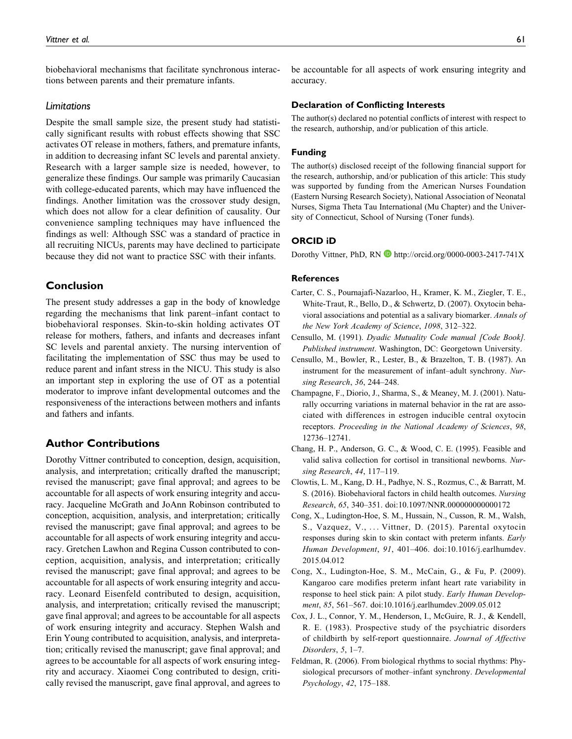biobehavioral mechanisms that facilitate synchronous interactions between parents and their premature infants.

#### Limitations

Despite the small sample size, the present study had statistically significant results with robust effects showing that SSC activates OT release in mothers, fathers, and premature infants, in addition to decreasing infant SC levels and parental anxiety. Research with a larger sample size is needed, however, to generalize these findings. Our sample was primarily Caucasian with college-educated parents, which may have influenced the findings. Another limitation was the crossover study design, which does not allow for a clear definition of causality. Our convenience sampling techniques may have influenced the findings as well: Although SSC was a standard of practice in all recruiting NICUs, parents may have declined to participate because they did not want to practice SSC with their infants.

## Conclusion

The present study addresses a gap in the body of knowledge regarding the mechanisms that link parent–infant contact to biobehavioral responses. Skin-to-skin holding activates OT release for mothers, fathers, and infants and decreases infant SC levels and parental anxiety. The nursing intervention of facilitating the implementation of SSC thus may be used to reduce parent and infant stress in the NICU. This study is also an important step in exploring the use of OT as a potential moderator to improve infant developmental outcomes and the responsiveness of the interactions between mothers and infants and fathers and infants.

# Author Contributions

Dorothy Vittner contributed to conception, design, acquisition, analysis, and interpretation; critically drafted the manuscript; revised the manuscript; gave final approval; and agrees to be accountable for all aspects of work ensuring integrity and accuracy. Jacqueline McGrath and JoAnn Robinson contributed to conception, acquisition, analysis, and interpretation; critically revised the manuscript; gave final approval; and agrees to be accountable for all aspects of work ensuring integrity and accuracy. Gretchen Lawhon and Regina Cusson contributed to conception, acquisition, analysis, and interpretation; critically revised the manuscript; gave final approval; and agrees to be accountable for all aspects of work ensuring integrity and accuracy. Leonard Eisenfeld contributed to design, acquisition, analysis, and interpretation; critically revised the manuscript; gave final approval; and agrees to be accountable for all aspects of work ensuring integrity and accuracy. Stephen Walsh and Erin Young contributed to acquisition, analysis, and interpretation; critically revised the manuscript; gave final approval; and agrees to be accountable for all aspects of work ensuring integrity and accuracy. Xiaomei Cong contributed to design, critically revised the manuscript, gave final approval, and agrees to

be accountable for all aspects of work ensuring integrity and accuracy.

#### Declaration of Conflicting Interests

The author(s) declared no potential conflicts of interest with respect to the research, authorship, and/or publication of this article.

#### Funding

The author(s) disclosed receipt of the following financial support for the research, authorship, and/or publication of this article: This study was supported by funding from the American Nurses Foundation (Eastern Nursing Research Society), National Association of Neonatal Nurses, Sigma Theta Tau International (Mu Chapter) and the University of Connecticut, School of Nursing (Toner funds).

#### ORCID iD

Dorothy Vittner, PhD, RN <http://orcid.org/0000-0003-2417-741X>

#### **References**

- Carter, C. S., Pournajafi-Nazarloo, H., Kramer, K. M., Ziegler, T. E., White-Traut, R., Bello, D., & Schwertz, D. (2007). Oxytocin behavioral associations and potential as a salivary biomarker. Annals of the New York Academy of Science, 1098, 312–322.
- Censullo, M. (1991). Dyadic Mutuality Code manual [Code Book]. Published instrument. Washington, DC: Georgetown University.
- Censullo, M., Bowler, R., Lester, B., & Brazelton, T. B. (1987). An instrument for the measurement of infant–adult synchrony. Nursing Research, 36, 244–248.
- Champagne, F., Diorio, J., Sharma, S., & Meaney, M. J. (2001). Naturally occurring variations in maternal behavior in the rat are associated with differences in estrogen inducible central oxytocin receptors. Proceeding in the National Academy of Sciences, 98, 12736–12741.
- Chang, H. P., Anderson, G. C., & Wood, C. E. (1995). Feasible and valid saliva collection for cortisol in transitional newborns. Nursing Research, 44, 117–119.
- Clowtis, L. M., Kang, D. H., Padhye, N. S., Rozmus, C., & Barratt, M. S. (2016). Biobehavioral factors in child health outcomes. Nursing Research, 65, 340–351. doi:10.1097/NNR.000000000000172
- Cong, X., Ludington-Hoe, S. M., Hussain, N., Cusson, R. M., Walsh, S., Vazquez, V., ... Vittner, D. (2015). Parental oxytocin responses during skin to skin contact with preterm infants. Early Human Development, 91, 401–406. doi:10.1016/j.earlhumdev. 2015.04.012
- Cong, X., Ludington-Hoe, S. M., McCain, G., & Fu, P. (2009). Kangaroo care modifies preterm infant heart rate variability in response to heel stick pain: A pilot study. Early Human Development, 85, 561–567. doi:10.1016/j.earlhumdev.2009.05.012
- Cox, J. L., Connor, Y. M., Henderson, I., McGuire, R. J., & Kendell, R. E. (1983). Prospective study of the psychiatric disorders of childbirth by self-report questionnaire. Journal of Affective Disorders, 5, 1–7.
- Feldman, R. (2006). From biological rhythms to social rhythms: Physiological precursors of mother–infant synchrony. Developmental Psychology, 42, 175–188.